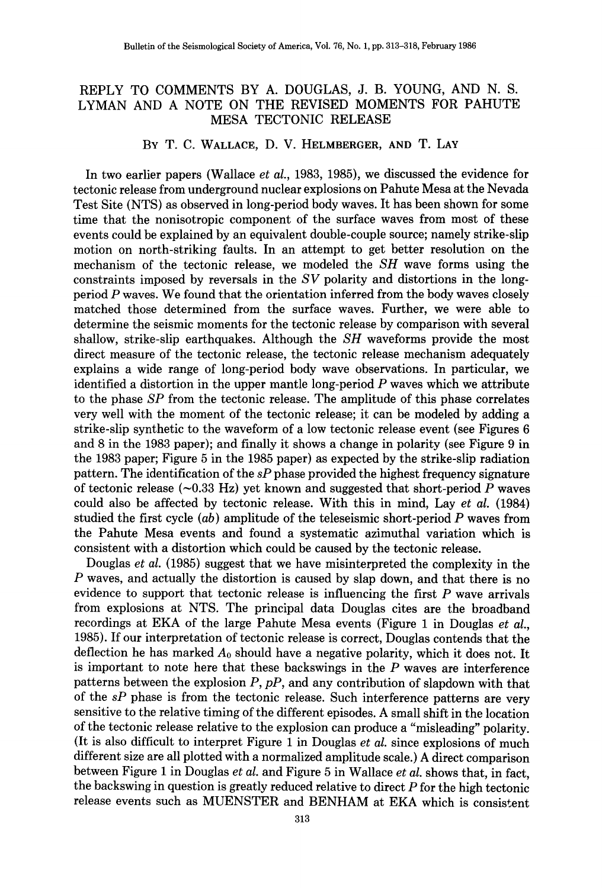## REPLY TO COMMENTS BY A. DOUGLAS, J. B. YOUNG, AND N. S. LYMAN AND A NOTE ON THE REVISED MOMENTS FOR PAHUTE MESA TECTONIC RELEASE

BY T. C. WALLACE, D. V. HELMBERGER, AND T. LAY

In two earlier papers (Wallace *et al.,* 1983, 1985), we discussed the evidence for tectonic release from underground nuclear explosions on Pahute Mesa at the Nevada Test Site (NTS) as observed in long-period body waves. It has been shown for some time that the nonisotropic component of the surface waves from most of these events could be explained by an equivalent double-couple source; namely strike-slip motion on north-striking faults. In an attempt to get better resolution on the mechanism of the tectonic release, we modeled the *SH* wave forms using the constraints imposed by reversals in the *SV* polarity and distortions in the longperiod *P* waves. We found that the orientation inferred from the body waves closely matched those determined from the surface waves. Further, we were able to determine the seismic moments for the tectonic release by comparison with several shallow, strike-slip earthquakes. Although the *SH* waveforms provide the most direct measure of the tectonic release, the tectonic release mechanism adequately explains a wide range of long-period body wave observations. In particular, we identified a distortion in the upper mantle long-period *P* waves which we attribute to the phase *SP* from the tectonic release. The amplitude of this phase correlates very well with the moment of the tectonic release; it can be modeled by adding a strike-slip synthetic to the waveform of a low tectonic release event (see Figures 6 and 8 in the 1983 paper); and finally it shows a change in polarity (see Figure 9 in the 1983 paper; Figure 5 in the 1985 paper) as expected by the strike-slip radiation pattern. The identification of the *sP* phase provided the highest frequency signature of tectonic release  $(\sim 0.33 \text{ Hz})$  yet known and suggested that short-period P waves could also be affected by tectonic release. With this in mind, Lay *et al.* (1984) studied the first cycle  $(ab)$  amplitude of the teleseismic short-period P waves from the Pahute Mesa events and found a systematic azimuthal variation which is consistent with a distortion which could be caused by the tectonic release.

Douglas *et al.* (1985) suggest that we have misinterpreted the complexity in the *P* waves, and actually the distortion is caused by slap down, and that there is no evidence to support that tectonic release is influencing the first  $P$  wave arrivals from explosions at NTS. The principal data Douglas cites are the broadband recordings at EKA of the large Pahute Mesa events (Figure 1 in Douglas *et al.,*  1985). If our interpretation of tectonic release is correct, Douglas contends that the deflection he has marked *Ao* should have a negative polarity, which it does not. It is important to note here that these backswings in the *P* waves are interference patterns between the explosion *P, pP,* and any contribution of slapdown with that of the *sP* phase is from the tectonic release. Such interference patterns are very sensitive to the relative timing of the different episodes. A small shift in the location of the tectonic release relative to the explosion can produce a "misleading" polarity. (It is also difficult to interpret Figure 1 in Douglas *et al.* since explosions of much different size are all plotted with a normalized amplitude scale.) A direct comparison between Figure 1 in Douglas *et al.* and Figure 5 in Wallace *et al.* shows that, in fact, the backswing in question is greatly reduced relative to direct  $P$  for the high tectonic release events such as MUENSTER and BENHAM at EKA which is consistent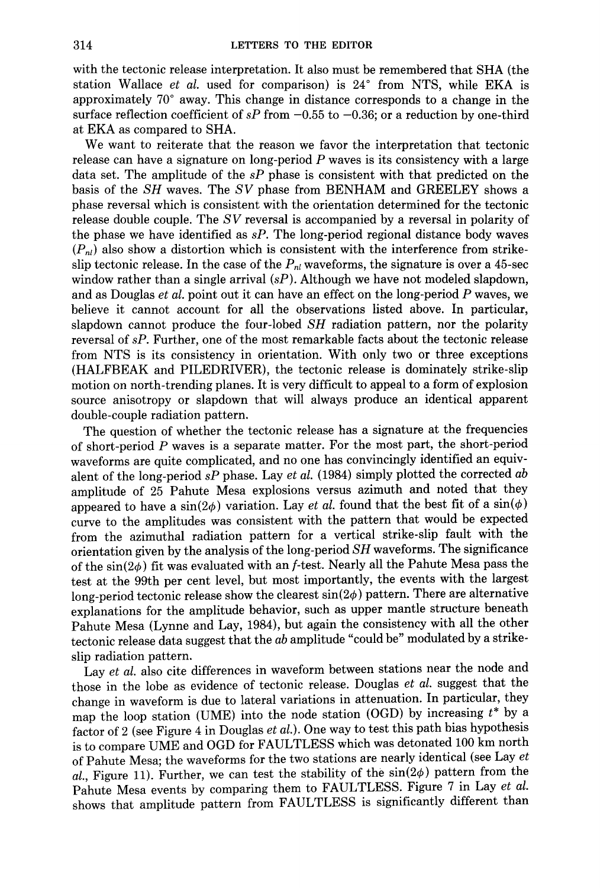with the tectonic release interpretation. It also must be remembered that SHA (the station Wallace *et al.* used for comparison) is 24° from NTS, while EKA is approximately 70° away. This change in distance corresponds to a change in the surface reflection coefficient of  $sP$  from  $-0.55$  to  $-0.36$ ; or a reduction by one-third at EKA as compared to SHA.

We want to reiterate that the reason we favor the interpretation that tectonic release can have a signature on long-period *P* waves is its consistency with a large data set. The amplitude of the *sP* phase is consistent with that predicted on the basis of the *SH* waves. The *SV* phase from BENHAM and GREELEY shows a phase reversal which is consistent with the orientation determined for the tectonic release double couple. The *SV* reversal is accompanied by a reversal in polarity of the phase we have identified as *sP.* The long-period regional distance body waves  $(P_{nl})$  also show a distortion which is consistent with the interference from strikeslip tectonic release. In the case of the  $P_{nl}$  waveforms, the signature is over a 45-sec window rather than a single arrival *(sP).* Although we have not modeled slapdown, and as Douglas *et al.* point out it can have an effect on the long-period *P* waves, we believe it cannot account for all the observations listed above. In particular, slapdown cannot produce the four-lobed *SH* radiation pattern, nor the polarity reversal of *sP.* Further, one of the most remarkable facts about the tectonic release from NTS is its consistency in orientation. With only two or three exceptions (HALFBEAK and PILEDRIVER), the tectonic release is dominately strike-slip motion on north-trending planes. It is very difficult to appeal to a form of explosion source anisotropy or slapdown that will always produce an identical apparent double-couple radiation pattern.

The question of whether the tectonic release has a signature at the frequencies of short-period *P* waves is a separate matter. For the most part, the short-period waveforms are quite complicated, and no one has convincingly identified an equivalent of the long-period *sP* phase. Lay *et al.* (1984) simply plotted the corrected *ab*  amplitude of 25 Pahute Mesa explosions versus azimuth and noted that they appeared to have a  $\sin(2\phi)$  variation. Lay *et al.* found that the best fit of a  $\sin(\phi)$ curve to the amplitudes was consistent with the pattern that would be expected from the azimuthal radiation pattern for a vertical strike-slip fault with the orientation given by the analysis of the long-period *SH* waveforms. The significance of the  $sin(2\phi)$  fit was evaluated with an *f*-test. Nearly all the Pahute Mesa pass the test at the 99th per cent level, but most importantly, the events with the largest long-period tectonic release show the clearest  $sin(2\phi)$  pattern. There are alternative explanations for the amplitude behavior, such as upper mantle structure beneath Pahute Mesa (Lynne and Lay, 1984), but again the consistency with all the other tectonic release data suggest that the *ab* amplitude "could be" modulated by a strikeslip radiation pattern.

Lay *et al.* also cite differences in waveform between stations near the node and those in the lobe as evidence of tectonic release. Douglas *et al.* suggest that the change in waveform is due to lateral variations in attenuation. In particular, they map the loop station (UME) into the node station (OGD) by increasing *t\** by a factor of 2 (see Figure 4 in Douglas *et al.).* One way to test this path bias hypothesis is to compare UME and OGD for FAULTLESS which was detonated 100 km north of Pahute Mesa; the waveforms for the two stations are nearly identical (see Lay *et al.*, Figure 11). Further, we can test the stability of the  $sin(2\phi)$  pattern from the Pahute Mesa events by comparing them to FAULTLESS. Figure 7 in Lay *et al.*  shows that amplitude pattern from FAULTLESS is significantly different than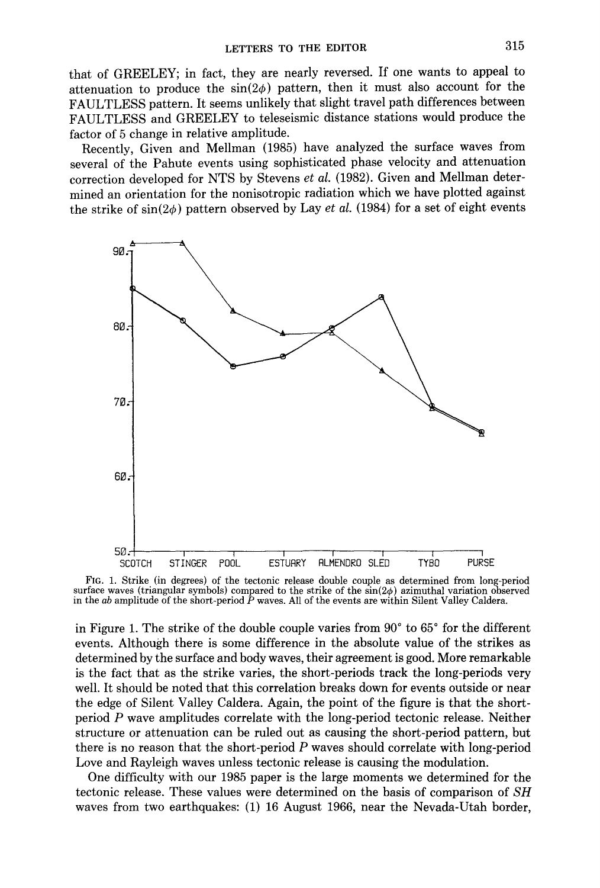that of GREELEY; in fact, they are nearly reversed. If one wants to appeal to attenuation to produce the  $sin(2\phi)$  pattern, then it must also account for the FAULTLESS pattern. It seems unlikely that slight travel path differences between FAULTLESS and GREELEY to teleseismic distance stations would produce the factor of 5 change in relative amplitude.

Recently, Given and Mellman (1985) have analyzed the surface waves from several of the Pahute events using sophisticated phase velocity and attenuation correction developed for NTS by Stevens *et al.* (1982). Given and Mellman determined an orientation for the nonisotropic radiation which we have plotted against the strike of  $sin(2\phi)$  pattern observed by Lay *et al.* (1984) for a set of eight events



FIG. 1. Strike (in degrees) of the tectonic release double couple as determined from long-period surface waves (triangular symbols) compared to the strike of the  $\sin(2\phi)$  azimuthal variation observed in the *ab* amplitude of the short-period *P* waves. All of the events are within Silent Valley Caldera.

in Figure 1. The strike of the double couple varies from  $90^{\circ}$  to  $65^{\circ}$  for the different events. Although there is some difference in the absolute value of the strikes as determined by the surface and body waves, their agreement is good. More remarkable is the fact that as the strike varies, the short-periods track the long-periods very well. It should be noted that this correlation breaks down for events outside or near the edge of Silent Valley Caldera. Again, the point of the figure is that the shortperiod *P* wave amplitudes correlate with the long-period tectonic release. Neither structure or attenuation can be ruled out as causing the short-period pattern, but there is no reason that the short-period  $P$  waves should correlate with long-period Love and Rayleigh waves unless tectonic release is causing the modulation.

One difficulty with our 1985 paper is the large moments we determined for the tectonic release. These values were determined on the basis of comparison of *SH*  waves from two earthquakes: (1) 16 August 1966, near the Nevada-Utah border,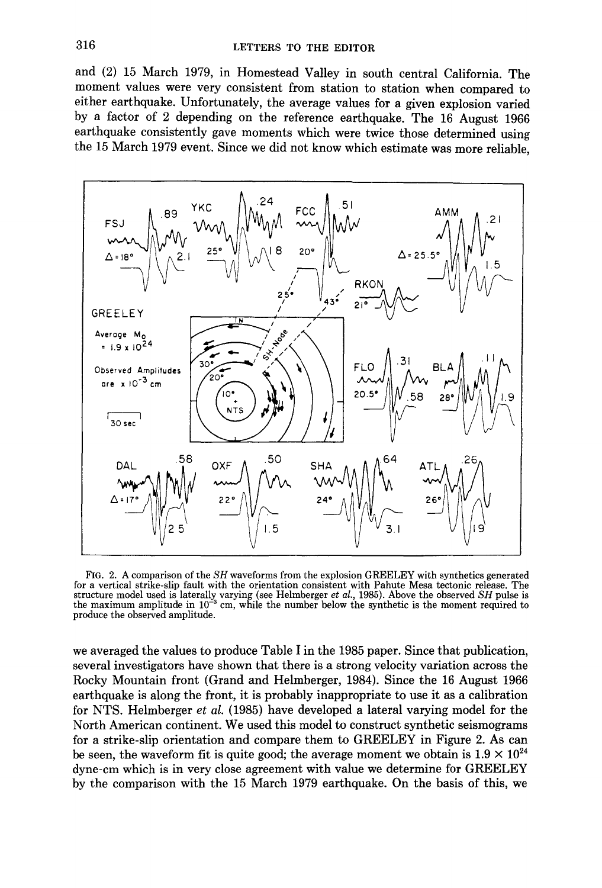and (2) 15 March 1979, in Homestead Valley in south central California. The moment values were very consistent from station to station when compared to either earthquake. Unfortunately, the average values for a given explosion varied by a factor of 2 depending on the reference earthquake. The 16 August 1966 earthquake consistently gave moments which were twice those determined using the 15 March 1979 event. Since we did not know which estimate was more reliable,



FIG. 2. A comparison of the *SH* waveforms from the explosion GREELEY with synthetics generated for a vertical strike-slip fault with the orientation consistent with Pahute Mesa tectonic release. The structure model used is laterally varying (see Helmberger *et al.*, 1985). Above the observed *SH* pulse is the maxim produce the observed amplitude.

we averaged the values to produce Table I in the 1985 paper. Since that publication, several investigators have shown that there is a strong velocity variation across the Rocky Mountain front (Grand and Heimberger, 1984). Since the 16 August 1966 earthquake is along the front, it is probably inappropriate to use it as a calibration for NTS. Heimberger *et al.* (1985) have developed a lateral varying model for the North American continent. We used this model to construct synthetic seismograms for a strike-slip orientation and compare them to GREELEY in Figure 2. As can be seen, the waveform fit is quite good; the average moment we obtain is  $1.9 \times 10^{24}$ dyne-em which is in very close agreement with value we determine for GREELEY by the comparison with the 15 March 1979 earthquake. On the basis of this, we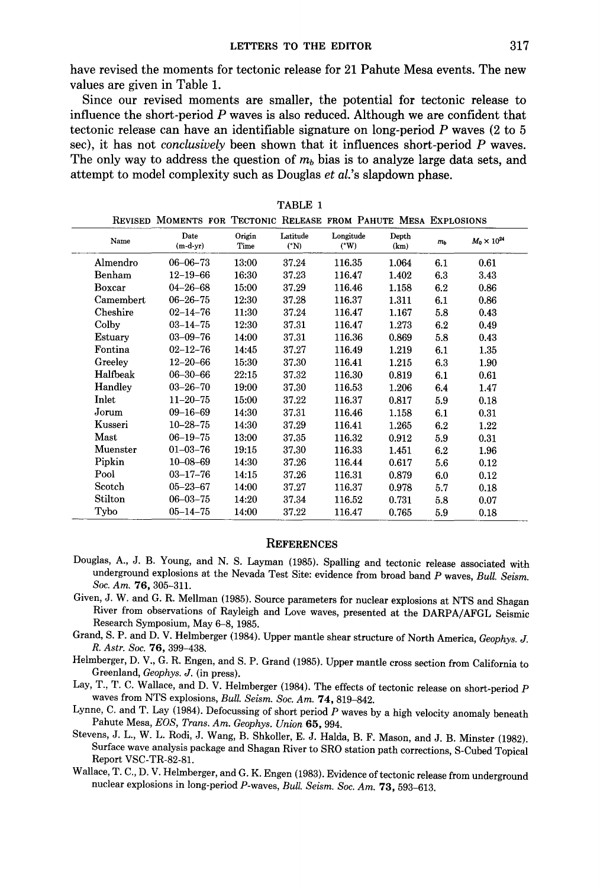have revised the moments for tectonic release for 21 Pahute Mesa events. The new values are given in Table 1.

Since our revised moments are smaller, the potential for tectonic release to influence the short-period *P* waves is also reduced. Although we are confident that tectonic release can have an identifiable signature on long-period *P* waves (2 to 5 sec), it has not *conclusively* been shown that it influences short-period *P* waves. The only way to address the question of  $m<sub>b</sub>$  bias is to analyze large data sets, and attempt to model complexity such as Douglas *et al.'s* slapdown phase.

|           | REVISED MOMENTS FOR TECTONIC RELEASE FROM PAHUTE MESA EXPLOSIONS |                |                             |                            |               |                |                      |
|-----------|------------------------------------------------------------------|----------------|-----------------------------|----------------------------|---------------|----------------|----------------------|
| Name      | Date<br>$(m-d-yr)$                                               | Origin<br>Time | Latitude<br>$({}^{\circ}N)$ | Longitude<br>$(^{\circ}W)$ | Depth<br>(km) | m <sub>b</sub> | $M_0 \times 10^{24}$ |
| Almendro  | $06 - 06 - 73$                                                   | 13:00          | 37.24                       | 116.35                     | 1.064         | 6.1            | 0.61                 |
| Benham    | $12 - 19 - 66$                                                   | 16:30          | 37.23                       | 116.47                     | 1.402         | 6.3            | 3.43                 |
| Boxcar    | $04 - 26 - 68$                                                   | 15:00          | 37.29                       | 116.46                     | 1.158         | 6.2            | 0.86                 |
| Camembert | $06 - 26 - 75$                                                   | 12:30          | 37.28                       | 116.37                     | 1.311         | 6.1            | 0.86                 |
| Cheshire  | $02 - 14 - 76$                                                   | 11:30          | 37.24                       | 116.47                     | 1.167         | 5.8            | 0.43                 |
| Colby     | $03 - 14 - 75$                                                   | 12:30          | 37.31                       | 116.47                     | 1.273         | 6.2            | 0.49                 |
| Estuary   | $03 - 09 - 76$                                                   | 14:00          | 37.31                       | 116.36                     | 0.869         | 5.8            | 0.43                 |
| Fontina   | $02 - 12 - 76$                                                   | 14:45          | 37.27                       | 116.49                     | 1.219         | 6.1            | 1.35                 |
| Greeley   | $12 - 20 - 66$                                                   | 15:30          | 37.30                       | 116.41                     | 1.215         | 6.3            | 1.90                 |
| Halfbeak  | $06 - 30 - 66$                                                   | 22:15          | 37.32                       | 116.30                     | 0.819         | 6.1            | 0.61                 |
| Handley   | $03 - 26 - 70$                                                   | 19:00          | 37.30                       | 116.53                     | 1.206         | 6.4            | 1.47                 |
| Inlet     | $11 - 20 - 75$                                                   | 15:00          | 37.22                       | 116.37                     | 0.817         | 5.9            | 0.18                 |
| Jorum     | $09 - 16 - 69$                                                   | 14:30          | 37.31                       | 116.46                     | 1.158         | 6.1            | 0.31                 |
| Kusseri   | $10 - 28 - 75$                                                   | 14:30          | 37.29                       | 116.41                     | 1.265         | 6.2            | 1.22                 |
| Mast      | $06 - 19 - 75$                                                   | 13:00          | 37.35                       | 116.32                     | 0.912         | 5.9            | 0.31                 |
| Muenster  | $01 - 03 - 76$                                                   | 19:15          | 37.30                       | 116.33                     | 1.451         | 6.2            | 1.96                 |
| Pipkin    | $10 - 08 - 69$                                                   | 14:30          | 37.26                       | 116.44                     | 0.617         | 5.6            | 0.12                 |
| Pool      | $03 - 17 - 76$                                                   | 14:15          | 37.26                       | 116.31                     | 0.879         | 6.0            | 0.12                 |
| Scotch    | $05 - 23 - 67$                                                   | 14:00          | 37.27                       | 116.37                     | 0.978         | 5.7            | 0.18                 |
| Stilton   | $06 - 03 - 75$                                                   | 14:20          | 37.34                       | 116.52                     | 0.731         | 5.8            | 0.07                 |
| Tybo      | $05 - 14 - 75$                                                   | 14:00          | 37.22                       | 116.47                     | 0.765         | 5.9            | 0.18                 |

TABLE 1

## **REFERENCES**

- Douglas, A., J. B. Young, and N. S. Layman (1985). Spalling and tectonic release associated with underground explosions at the Nevada Test Site: evidence from broad band *P* waves, *Bull. Seism. Soc. Am.* 76, 305-311.
- Given, J. W. and G. R. Mellman (1985). Source parameters for nuclear explosions at NTS and Shagan River from observations of Rayleigh and Love waves, presented at the DARPA/AFGL Seismic Research Symposium, May 6-8, 1985.
- Grand, S. P. and D. V. Heimberger (1984). Upper mantle shear structure of North America, *Geophys. J. R. Astr. Soc.* 76, 399-438.
- Heimberger, D. V., G. R. Engen, and S. P. Grand (1985). Upper mantle cross section from California to Greenland, *Geophys. J.* (in press).
- Lay, T., T. C. Wallace, and D. V. Heimberger (1984). The effects of tectonic release on short-period P waves from NTS explosions, *Bull. Seism. Soc. Am.* 7 4, 819-842.
- Lynne, C. and T. Lay (1984). Defocussing of short period  $P$  waves by a high velocity anomaly beneath Pahute Mesa, *EOS, Trans. Am. Geophys. Union* 65, 994.
- Stevens, J. L., W. L. Rodi, J. Wang, B. Shkoller, E. J. Halda, B. F. Mason, and J. B. Minster (1982). Surface wave analysis package and Shagan River to SRO station path corrections, S-Cubed Topical Report VSC-TR-82-81.
- Wallace, T. C., D. V. Heimberger, and G. K. Engen (1983). Evidence of tectonic release from underground nuclear explosions in long-period P-waves, *Bull. Seism. Soc. Am.* 73, 593-613.